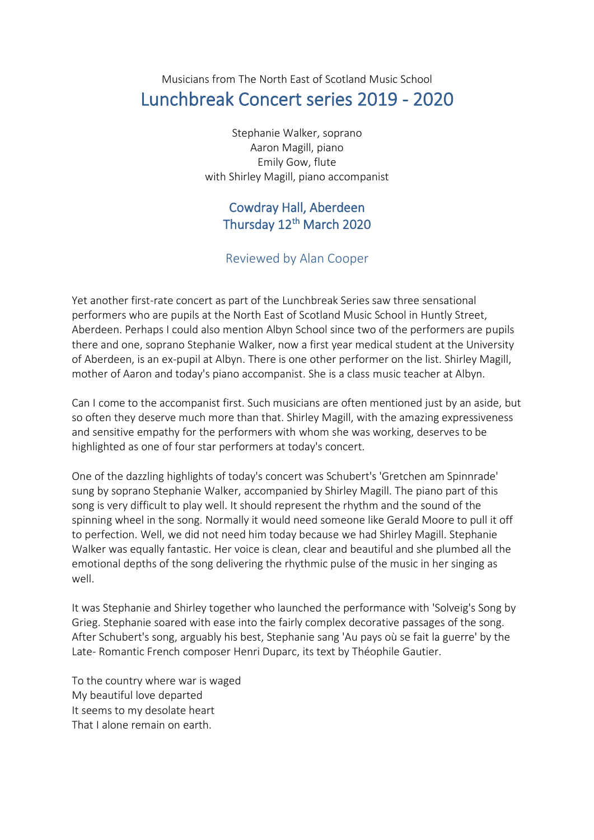## Musicians from The North East of Scotland Music School Lunchbreak Concert series 2019 - 2020

Stephanie Walker, soprano Aaron Magill, piano Emily Gow, flute with Shirley Magill, piano accompanist

## Cowdray Hall, Aberdeen Thursday 12<sup>th</sup> March 2020

## Reviewed by Alan Cooper

Yet another first-rate concert as part of the Lunchbreak Series saw three sensational performers who are pupils at the North East of Scotland Music School in Huntly Street, Aberdeen. Perhaps I could also mention Albyn School since two of the performers are pupils there and one, soprano Stephanie Walker, now a first year medical student at the University of Aberdeen, is an ex-pupil at Albyn. There is one other performer on the list. Shirley Magill, mother of Aaron and today's piano accompanist. She is a class music teacher at Albyn.

Can I come to the accompanist first. Such musicians are often mentioned just by an aside, but so often they deserve much more than that. Shirley Magill, with the amazing expressiveness and sensitive empathy for the performers with whom she was working, deserves to be highlighted as one of four star performers at today's concert.

One of the dazzling highlights of today's concert was Schubert's 'Gretchen am Spinnrade' sung by soprano Stephanie Walker, accompanied by Shirley Magill. The piano part of this song is very difficult to play well. It should represent the rhythm and the sound of the spinning wheel in the song. Normally it would need someone like Gerald Moore to pull it off to perfection. Well, we did not need him today because we had Shirley Magill. Stephanie Walker was equally fantastic. Her voice is clean, clear and beautiful and she plumbed all the emotional depths of the song delivering the rhythmic pulse of the music in her singing as well.

It was Stephanie and Shirley together who launched the performance with 'Solveig's Song by Grieg. Stephanie soared with ease into the fairly complex decorative passages of the song. After Schubert's song, arguably his best, Stephanie sang 'Au pays où se fait la guerre' by the Late- Romantic French composer Henri Duparc, its text by Théophile Gautier.

To the country where war is waged My beautiful love departed It seems to my desolate heart That I alone remain on earth.